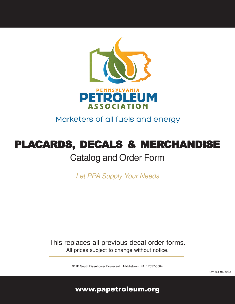

Marketers of all fuels and energy

# PLACARDS, DECALS & MERCHANDISE

# Catalog and Order Form

Let PPA Supply Your Needs

This replaces all previous decal order forms. All prices subject to change without notice.

911B South Eisenhower Boulevard Middletown, PA 17057-5504

www.papetroleum.org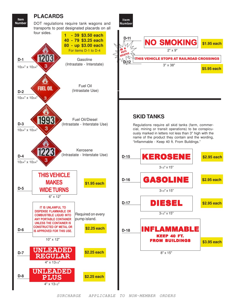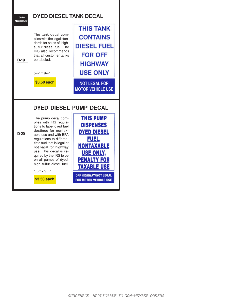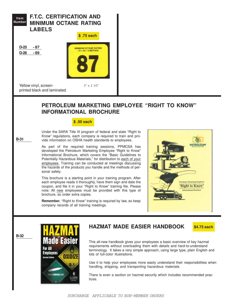

**B-31**

**B-32**

### **PETROLEUM MARKETING EMPLOYEE "RIGHT TO KNOW" INFORMATIONAL BROCHURE**

#### **\$ .50 each**

Under the SARA Title III program of federal and state "Right to Know" regulations, each company is required to train and provide information on OSHA health standards to employees.

As part of the required training sessions, PPMCSA has developed the Petroleum Marketing Employee "Right to Know" Informational Brochure, which covers the "Basic Guidelines to Potentially Hazardous Materials," for distribution to each of your employees. Training can be conducted at meetings discussing the hazards of the products you handle and the methods of personal safety.

This brochure is a starting point in your training program. After each employee reads it thoroughly, have them sign and date the coupon, and file it in your "Right to Know" training file. Please note: All new employees must be provided with this type of brochure, so order extra copies.

**Remember**, "Right to Know" training is required by law, so keep company records of all training meetings.





### **HAZMAT MADE EASIER HANDBOOK**

**\$4.75 each**

This all-new handbook gives your employees a basic overview of key hazmat requirements without overloading them with details and hard-to-understand terminology. It takes a very simple approach, using large type, plain English and lots of full-color illustrations.

Use it to help your employees more easily understand their responsibilities when handling, shipping, and transporting hazardous materials.

There is even a section on hazmat security which includes recommended practices.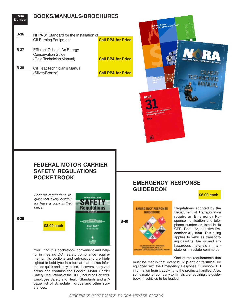| <b>Item</b><br><b>Number</b> | <b>BOOKS/MANUALS/BROCHURES</b>                                                                                                                                                                                                                                                                                                                                         |                           | <b>Efficient Oilheat.</b><br>An Energy Conservation Guide                             |                                                                                                                                                                                                                                                                                                       |
|------------------------------|------------------------------------------------------------------------------------------------------------------------------------------------------------------------------------------------------------------------------------------------------------------------------------------------------------------------------------------------------------------------|---------------------------|---------------------------------------------------------------------------------------|-------------------------------------------------------------------------------------------------------------------------------------------------------------------------------------------------------------------------------------------------------------------------------------------------------|
| <b>B-36</b>                  | NFPA 31 Standard for the Installation of<br><b>Oil-Burning Equipment</b>                                                                                                                                                                                                                                                                                               | <b>Call PPA for Price</b> |                                                                                       |                                                                                                                                                                                                                                                                                                       |
| <b>B-37</b>                  | Efficient Oilheat, An Energy<br><b>Conservation Guide</b><br>(Gold Technician Manual)                                                                                                                                                                                                                                                                                  | <b>Call PPA for Price</b> |                                                                                       | NATIONAL OILHEAT RESEARCH ALLIAN                                                                                                                                                                                                                                                                      |
| <b>B-38</b>                  | Oil Heat Technician's Manual<br>(Silver/Bronze)                                                                                                                                                                                                                                                                                                                        | <b>Call PPA for Price</b> | <b>NFPA</b><br>Standard for the Installation of<br>Oil-Burning Equipment<br>2016<br>鳳 | <b>SILVER</b>                                                                                                                                                                                                                                                                                         |
|                              | <b>FEDERAL MOTOR CARRIER</b><br><b>SAFETY REGULATIONS</b><br><b>POCKETBOOK</b>                                                                                                                                                                                                                                                                                         |                           |                                                                                       |                                                                                                                                                                                                                                                                                                       |
|                              |                                                                                                                                                                                                                                                                                                                                                                        |                           | <b>EMERGENCY RESPONSE</b><br><b>GUIDEBOOK</b>                                         |                                                                                                                                                                                                                                                                                                       |
|                              | Federal regulations re-<br><b>Federal Motor Carrier</b><br>quire that every distribu-<br>tor have a copy in their<br>office.                                                                                                                                                                                                                                           |                           | <b>EMERGENCY RESPONSE</b><br><b>GUIDEBOOK</b>                                         | \$6.00 each<br>Regulations adopted by the<br>Department of Transportation                                                                                                                                                                                                                             |
| <b>B-39</b>                  | \$8.00 each                                                                                                                                                                                                                                                                                                                                                            | <b>B-40</b>               | A GUIDEBOOK FOR FIRST RESPONSERS<br>DURING THE INITIAL PHASE OF A                     | require an Emergency Re-<br>sponse notification and tele-<br>phone number as listed in 49<br>CFR, Part 172, effective De-<br>cember 31, 1990. This ruling<br>applies to vehicles transport-<br>ing gasoline, fuel oil and any<br>hazardous materials in inter-                                        |
|                              | You'll find this pocketbook convenient and help-<br>ful in meeting DOT safety compliance require-<br>ments. Its sections and sub-sections are high-<br>lighted in bold type in a format that makes infor-<br>mation quick and easy to find. It covers many vital<br>areas and contains the Federal Motor Carrier<br>Safety Regulations of the DOT, including Part 399- |                           | GEROUS GOODS/HAZARDOUS MATERIALS INCIDENT                                             | state or intrastate commerce.<br>One of the requirements that<br>must be met is that every bulk plant or terminal be<br>equipped with the Emergency Response Guidebook OR<br>information from it applying to the products handled. Also,<br>some major oil company terminals are requiring the guide- |

Employee Safety and Health Standards and a 7 page list of Schedule I drugs and other sub-

stances.

book in vehicles to be loaded.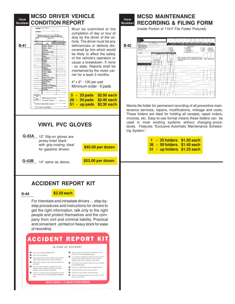#### **Item Number CONDITION REPORT MCSD DRIVER VEHICLE**

| CARRIER<br><b>ADDRESS</b><br>DRIVER'S VEHICLE CONDITION REPORT<br>DATE<br>EQUIP, NO<br><b>REPAIRS OR ADJUSTMENTS</b><br>NEEDED AT END OF TRIP<br><b>AFTER TRIP</b><br><b>ITEM</b><br>Brakes - Service<br>Brakes - Hand<br>Steering<br><b>Windshield Wipers</b><br>Defroster<br>Horn<br>R.V. Mirrors<br>Engine<br>Clutch<br><b>Drive Line</b><br>Transmission<br>Exhaust<br>Speedometer<br><b>Tires &amp; Wheels</b><br>Lights<br>Reflectors<br><b>Traller Connections</b> | Must be submitted at the<br>completion of day or tour of<br>duty by the driver of the ve-<br>hicle. The driver must list any<br>deficiencies or defects dis-<br>covered by him which would<br>be likely to affect the safety<br>of the vehicle's operation or<br>cause a breakdown. If none<br>- so state. Reports shall be<br>maintained by the motor car-<br>rier for a least 3 months. |  |  |  |  |  |
|---------------------------------------------------------------------------------------------------------------------------------------------------------------------------------------------------------------------------------------------------------------------------------------------------------------------------------------------------------------------------------------------------------------------------------------------------------------------------|-------------------------------------------------------------------------------------------------------------------------------------------------------------------------------------------------------------------------------------------------------------------------------------------------------------------------------------------------------------------------------------------|--|--|--|--|--|
| <b>Cooling System</b><br><b>Fuel System</b><br>Battery<br><b>Emergency Equipment</b><br>Fire Extinguisher<br>Placards<br>CHECK FACH<br>$V - QK$<br>Driver's Signature After Trin<br>x - UNBATEL-<br><b>EAC10ny</b>                                                                                                                                                                                                                                                        | 4" x 9" - 100 per pad<br>Minimum order - 5 pads<br><b>\$2.50 each</b><br>5 - 25 pads                                                                                                                                                                                                                                                                                                      |  |  |  |  |  |
| Date Repairs Completed<br>Signature of Shop Foreman or Mechanic<br>Driver's Signature After Repairs                                                                                                                                                                                                                                                                                                                                                                       | 50 pads<br>\$2.40 each<br>26<br>÷,<br><b>\$2.30 each</b><br>up pads<br>51                                                                                                                                                                                                                                                                                                                 |  |  |  |  |  |

## **VINYL PVC GLOVES**

**G-43A** 12" Slip-on gloves are jersey-lined black with grip-coating. Ideal for gasoline drivers.

**G-43B** 14" same as above.

**\$53.00 per dozen**

**\$45.00 per dozen**

## **ACCIDENT REPORT KIT**

**K-44**

### **\$2.50 each**

For interstate and intrastate drivers ... step-bystep procedures and instructions for drivers to get the right information, talk only to the right people and protect themselves and the company from civil and criminal liability. Practical and convenient - printed on heavy stock for ease of recording.



#### **Item Number MCSD MAINTENANCE RECORDING & FILING FORM**

(Inside Portion of 119-F File Folder Pictured)

|             | PONER<br><b>HAIT</b> |                                                                 |                                            |                      |                                                                                  |            |                  |            |                   |                          |                    |
|-------------|----------------------|-----------------------------------------------------------------|--------------------------------------------|----------------------|----------------------------------------------------------------------------------|------------|------------------|------------|-------------------|--------------------------|--------------------|
|             | NUMBER               |                                                                 |                                            |                      |                                                                                  |            |                  |            |                   |                          |                    |
|             |                      |                                                                 |                                            |                      |                                                                                  |            |                  |            |                   |                          |                    |
|             | MAKE                 | MODE.                                                           | JAN                                        | FEB                  | MAR APR                                                                          | <b>MAY</b> | JUN              | JULY   AUG | SEPT OCT          | <b>NOV</b>               | DEC                |
|             | VE6B                 | DATE - IN - SERVICE                                             |                                            |                      | PLACE AN "X" IN APPLICABLE SQUARE ABOVE (IN PENCIL) FOR NEXT SCHEDULED           |            |                  |            |                   |                          |                    |
|             | BODY SERIAL NO.      |                                                                 |                                            |                      | MAINTENANCE AND PLACE FOLDER IN FILE FOR AUTOMATIC MAINTENANCE SCHEDULING SYSTEM |            |                  |            |                   |                          |                    |
| <b>B-42</b> |                      |                                                                 |                                            |                      |                                                                                  |            |                  |            |                   |                          |                    |
|             | ENGINE SERIAL NO.    |                                                                 |                                            |                      |                                                                                  |            | WORK CODES       |            |                   |                          |                    |
|             | TRANS, TYPE & VO.    |                                                                 | A-ADJUST                                   |                      |                                                                                  |            | C-OVERHAUL       |            | $W - PMA$         | (1005 MILE)              |                    |
|             | DIFF. TYPE & NO.     |                                                                 | $C - CLFAN$                                |                      |                                                                                  |            | <b>B-REPLACE</b> |            | $X$ $F14-6$       | <b>GRIPO MILET</b>       |                    |
|             | TIRE SIZE            |                                                                 | - INSPECT                                  |                      |                                                                                  |            | T - TIRE REPART  |            | $Y - P M \cdot C$ | (50.000 VILE)            |                    |
|             |                      |                                                                 |                                            | L LUBRICATE          |                                                                                  |            | TR - THE REPLACE |            | $Z = PML2$        | (100,000 MILE)           |                    |
|             |                      |                                                                 | $M - VODI - Y$                             |                      |                                                                                  |            | U - ROAD CAL.    |            |                   |                          |                    |
|             | TRAILER              | WRITE WORK CODES IN APPLICABLE SPACE(S)                         |                                            |                      |                                                                                  |            |                  |            |                   |                          |                    |
|             |                      |                                                                 |                                            |                      |                                                                                  |            |                  |            |                   |                          |                    |
|             |                      | <b>POWER LYIF</b>                                               |                                            | TRA LER              |                                                                                  |            |                  |            |                   |                          |                    |
|             |                      |                                                                 |                                            |                      |                                                                                  |            |                  |            |                   |                          |                    |
|             |                      |                                                                 |                                            |                      | EXPLAIN BILLOW AS COMPLETELY AS FOSSIBLE THE                                     |            |                  |            |                   |                          |                    |
|             | $-1$                 | <b>BRT</b>                                                      | 藍                                          |                      |                                                                                  |            |                  |            |                   |                          |                    |
|             |                      | <b>REAGAN COM</b>                                               |                                            | s.                   | WORK HERFORMED AND ALL COMPONENTS OF PARTS.                                      |            |                  |            |                   | <b>BARTS LABCR TOTAL</b> |                    |
|             |                      | ž                                                               |                                            | ×<br><b>IS</b>       | HEFAINED OR REPLACED - USE MORE THAN ONE LINE IF                                 |            |                  |            |                   | COST COST                | $ccs$ <sup>-</sup> |
|             |                      | 믦                                                               |                                            | R<br>ê               | <b>NECESSARY</b>                                                                 |            |                  |            |                   |                          |                    |
|             |                      | <b>BLECT</b> FIFCAL<br>CO Triade<br><b>SMAPE</b><br>ğ<br>ă<br>м | <b>CALLERS</b><br>$\widetilde{\mathbf{S}}$ |                      |                                                                                  |            |                  |            |                   |                          |                    |
|             |                      | а                                                               |                                            | к                    |                                                                                  |            |                  |            |                   |                          |                    |
|             | DATE MILEAGE         | <b>NOTE-ME</b><br>×<br>٠<br>٠                                   | ٠                                          | ٠                    |                                                                                  |            |                  |            |                   |                          |                    |
|             |                      | ä<br>쳼<br>ε<br>8<br>ă.<br>×<br>8<br>в<br><b>Arrest</b>          | 大型                                         | Ř.<br>$\overline{a}$ |                                                                                  |            |                  |            |                   |                          |                    |
|             |                      |                                                                 |                                            |                      |                                                                                  |            |                  |            |                   |                          |                    |
|             |                      |                                                                 |                                            |                      |                                                                                  |            |                  |            |                   |                          |                    |
|             |                      |                                                                 |                                            |                      |                                                                                  |            |                  |            |                   |                          |                    |
|             |                      |                                                                 |                                            |                      |                                                                                  |            |                  |            |                   |                          |                    |
|             |                      | i,                                                              |                                            |                      |                                                                                  |            |                  |            |                   |                          |                    |
|             |                      |                                                                 |                                            |                      |                                                                                  |            |                  |            |                   |                          |                    |
|             |                      |                                                                 |                                            |                      |                                                                                  |            |                  |            |                   |                          |                    |
|             |                      |                                                                 |                                            | ٠                    |                                                                                  |            |                  |            |                   |                          |                    |
|             |                      |                                                                 |                                            |                      |                                                                                  |            |                  |            |                   |                          |                    |
|             |                      |                                                                 |                                            |                      |                                                                                  |            |                  |            |                   |                          |                    |
|             |                      |                                                                 |                                            |                      |                                                                                  |            |                  |            |                   |                          |                    |
|             |                      |                                                                 |                                            |                      |                                                                                  |            |                  |            |                   |                          |                    |
|             |                      |                                                                 |                                            |                      |                                                                                  |            |                  |            |                   |                          |                    |
|             |                      |                                                                 |                                            |                      |                                                                                  |            |                  |            |                   |                          |                    |
|             |                      | <b>11.19</b>                                                    |                                            |                      |                                                                                  |            |                  |            |                   |                          |                    |
|             |                      |                                                                 |                                            |                      |                                                                                  |            |                  |            |                   |                          |                    |
|             |                      |                                                                 |                                            |                      |                                                                                  |            |                  |            |                   |                          |                    |
|             |                      |                                                                 |                                            |                      |                                                                                  |            |                  |            |                   |                          |                    |
|             |                      |                                                                 |                                            |                      |                                                                                  |            |                  |            |                   |                          |                    |
|             |                      |                                                                 |                                            |                      |                                                                                  |            |                  |            |                   |                          |                    |
|             |                      |                                                                 | <b>STORY</b>                               |                      |                                                                                  |            |                  |            |                   |                          |                    |
|             |                      | ×.<br>٠                                                         | $\sim$                                     |                      |                                                                                  |            |                  |            |                   |                          |                    |
|             |                      |                                                                 |                                            |                      |                                                                                  |            |                  |            |                   |                          |                    |
|             |                      |                                                                 |                                            |                      |                                                                                  |            |                  |            |                   |                          |                    |
|             |                      |                                                                 |                                            |                      |                                                                                  |            |                  |            |                   |                          |                    |
|             |                      |                                                                 |                                            |                      |                                                                                  |            |                  |            |                   |                          |                    |
|             |                      |                                                                 |                                            |                      |                                                                                  |            |                  |            |                   |                          |                    |
|             |                      |                                                                 |                                            |                      |                                                                                  |            |                  |            |                   |                          |                    |
|             |                      |                                                                 | $\cdot$                                    |                      |                                                                                  |            |                  |            |                   |                          |                    |
|             |                      |                                                                 |                                            |                      |                                                                                  |            |                  |            |                   |                          |                    |
|             |                      |                                                                 |                                            |                      |                                                                                  |            |                  |            |                   |                          |                    |
|             |                      |                                                                 |                                            |                      |                                                                                  |            |                  |            |                   |                          |                    |

Manila file folder for permanent recording of all preventive maintenance services, repairs, modifications, mileage and costs. These folders are ideal for holding all receipts, repair orders, invoices, etc. Easy-to-use format means these folders can be used in most existing systems without changing procedures. Features "Exclusive Automatic Maintenance Scheduling System."

|  | 1 - 25 folders \$1.50 each  |
|--|-----------------------------|
|  | 26 - 50 folders \$1.40 each |
|  | 51 - up folders \$1.25 each |